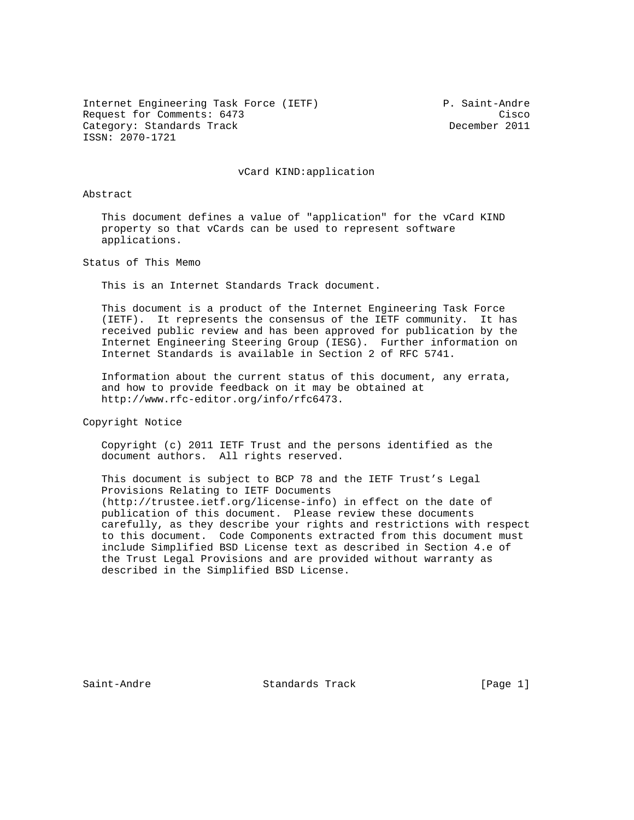Internet Engineering Task Force (IETF) P. Saint-Andre Request for Comments: 6473 Cisco Category: Standards Track december 2011 ISSN: 2070-1721

## vCard KIND:application

## Abstract

 This document defines a value of "application" for the vCard KIND property so that vCards can be used to represent software applications.

Status of This Memo

This is an Internet Standards Track document.

 This document is a product of the Internet Engineering Task Force (IETF). It represents the consensus of the IETF community. It has received public review and has been approved for publication by the Internet Engineering Steering Group (IESG). Further information on Internet Standards is available in Section 2 of RFC 5741.

 Information about the current status of this document, any errata, and how to provide feedback on it may be obtained at http://www.rfc-editor.org/info/rfc6473.

Copyright Notice

 Copyright (c) 2011 IETF Trust and the persons identified as the document authors. All rights reserved.

 This document is subject to BCP 78 and the IETF Trust's Legal Provisions Relating to IETF Documents (http://trustee.ietf.org/license-info) in effect on the date of publication of this document. Please review these documents carefully, as they describe your rights and restrictions with respect to this document. Code Components extracted from this document must include Simplified BSD License text as described in Section 4.e of the Trust Legal Provisions and are provided without warranty as described in the Simplified BSD License.

Saint-Andre Standards Track [Page 1]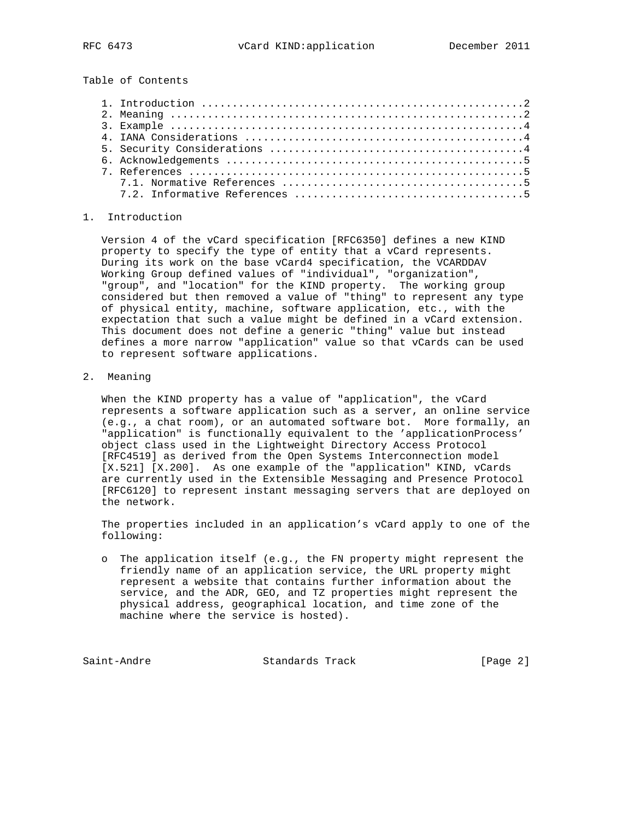Table of Contents

## 1. Introduction

 Version 4 of the vCard specification [RFC6350] defines a new KIND property to specify the type of entity that a vCard represents. During its work on the base vCard4 specification, the VCARDDAV Working Group defined values of "individual", "organization", "group", and "location" for the KIND property. The working group considered but then removed a value of "thing" to represent any type of physical entity, machine, software application, etc., with the expectation that such a value might be defined in a vCard extension. This document does not define a generic "thing" value but instead defines a more narrow "application" value so that vCards can be used to represent software applications.

2. Meaning

 When the KIND property has a value of "application", the vCard represents a software application such as a server, an online service (e.g., a chat room), or an automated software bot. More formally, an "application" is functionally equivalent to the 'applicationProcess' object class used in the Lightweight Directory Access Protocol [RFC4519] as derived from the Open Systems Interconnection model [X.521] [X.200]. As one example of the "application" KIND, vCards are currently used in the Extensible Messaging and Presence Protocol [RFC6120] to represent instant messaging servers that are deployed on the network.

 The properties included in an application's vCard apply to one of the following:

 o The application itself (e.g., the FN property might represent the friendly name of an application service, the URL property might represent a website that contains further information about the service, and the ADR, GEO, and TZ properties might represent the physical address, geographical location, and time zone of the machine where the service is hosted).

Saint-Andre Standards Track [Page 2]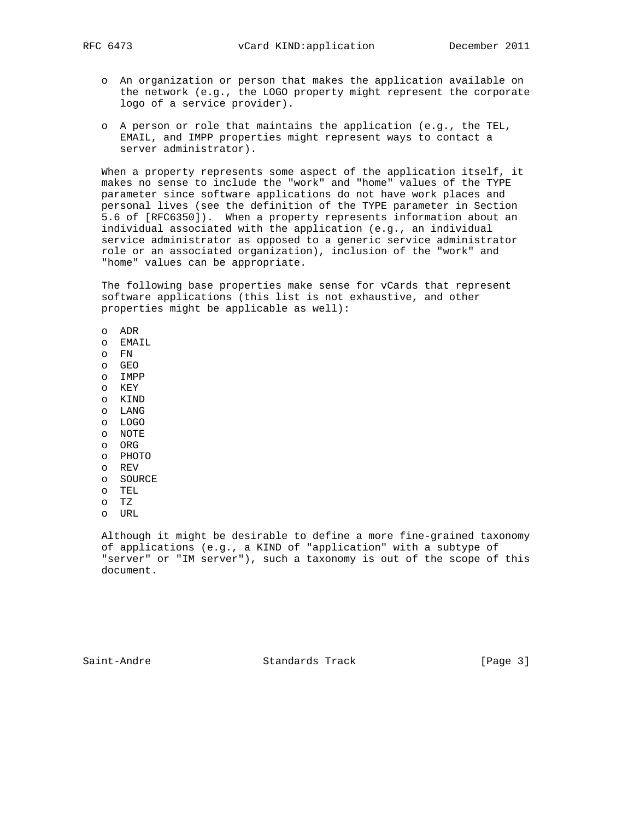- o An organization or person that makes the application available on the network (e.g., the LOGO property might represent the corporate logo of a service provider).
- o A person or role that maintains the application (e.g., the TEL, EMAIL, and IMPP properties might represent ways to contact a server administrator).

 When a property represents some aspect of the application itself, it makes no sense to include the "work" and "home" values of the TYPE parameter since software applications do not have work places and personal lives (see the definition of the TYPE parameter in Section 5.6 of [RFC6350]). When a property represents information about an individual associated with the application (e.g., an individual service administrator as opposed to a generic service administrator role or an associated organization), inclusion of the "work" and "home" values can be appropriate.

 The following base properties make sense for vCards that represent software applications (this list is not exhaustive, and other properties might be applicable as well):

 o ADR o EMAIL o FN o GEO o IMPP o KEY o KIND o LANG o LOGO o NOTE o ORG o PHOTO o REV o SOURCE o TEL o TZ o URL

 Although it might be desirable to define a more fine-grained taxonomy of applications (e.g., a KIND of "application" with a subtype of "server" or "IM server"), such a taxonomy is out of the scope of this document.

Saint-Andre Standards Track [Page 3]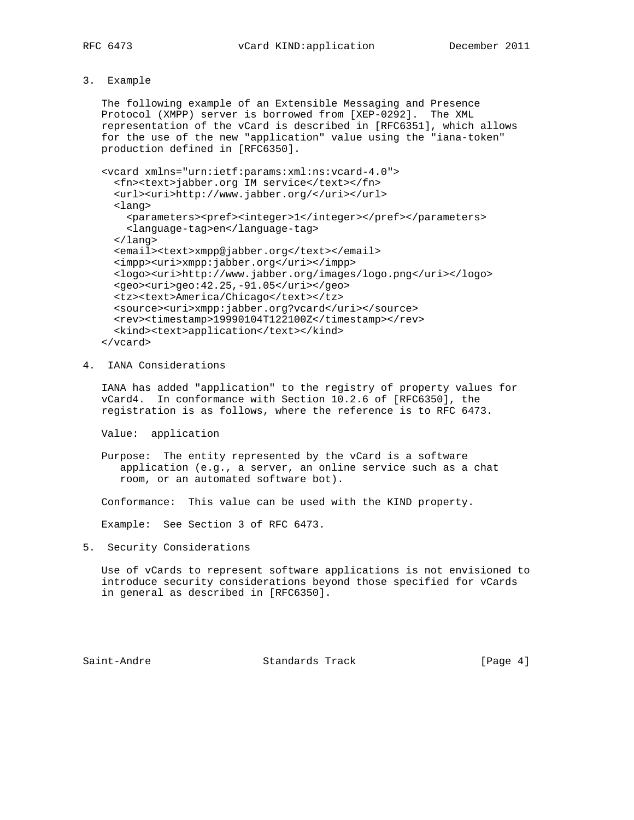## 3. Example

 The following example of an Extensible Messaging and Presence Protocol (XMPP) server is borrowed from [XEP-0292]. The XML representation of the vCard is described in [RFC6351], which allows for the use of the new "application" value using the "iana-token" production defined in [RFC6350].

```
 <vcard xmlns="urn:ietf:params:xml:ns:vcard-4.0">
  <fn><text>jabber.org IM service</text></fn>
  <url><uri>http://www.jabber.org/</uri></url>
  <lang>
    <parameters><pref><integer>1</integer></pref></parameters>
    <language-tag>en</language-tag>
  </lang>
  <email><text>xmpp@jabber.org</text></email>
  <impp><uri>xmpp:jabber.org</uri></impp>
  <logo><uri>http://www.jabber.org/images/logo.png</uri></logo>
  <geo><uri>geo:42.25,-91.05</uri></geo>
  <tz><text>America/Chicago</text></tz>
  <source><uri>xmpp:jabber.org?vcard</uri></source>
 <rev><timestamp>19990104T122100Z</timestamp></rev>
  <kind><text>application</text></kind>
</vcard>
```
- 
- 4. IANA Considerations

 IANA has added "application" to the registry of property values for vCard4. In conformance with Section 10.2.6 of [RFC6350], the registration is as follows, where the reference is to RFC 6473.

Value: application

 Purpose: The entity represented by the vCard is a software application (e.g., a server, an online service such as a chat room, or an automated software bot).

Conformance: This value can be used with the KIND property.

Example: See Section 3 of RFC 6473.

5. Security Considerations

 Use of vCards to represent software applications is not envisioned to introduce security considerations beyond those specified for vCards in general as described in [RFC6350].

Saint-Andre Standards Track [Page 4]